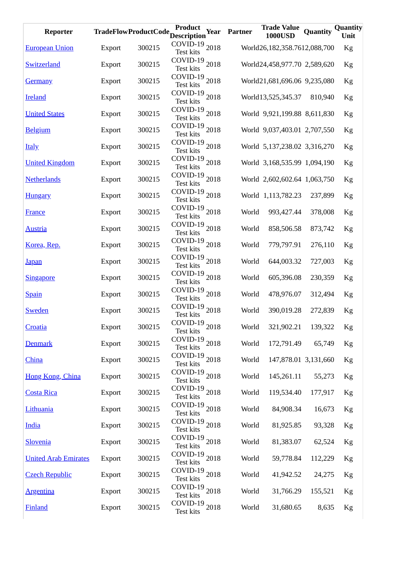| Reporter                    | TradeFlowProductCode |        | Product<br>Year<br>Description         | Partner | <b>Trade Value</b><br><b>1000USD</b> | Quantity | Quantity<br>Unit |
|-----------------------------|----------------------|--------|----------------------------------------|---------|--------------------------------------|----------|------------------|
| <b>European Union</b>       | Export               | 300215 | COVID-19 2018<br>Test kits             |         | World26,182,358.7612,088,700         |          | Kg               |
| <b>Switzerland</b>          | Export               | 300215 | COVID-19 2018<br>Test kits             |         | World24,458,977.70 2,589,620         |          | Kg               |
| <b>Germany</b>              | <b>Export</b>        | 300215 | COVID-19 2018<br>Test kits             |         | World21,681,696.06 9,235,080         |          | Kg               |
| <b>Ireland</b>              | <b>Export</b>        | 300215 | COVID-19 2018<br>Test kits             |         | World13,525,345.37                   | 810,940  | Kg               |
| <b>United States</b>        | <b>Export</b>        | 300215 | COVID-19 $_{2018}$<br>Test kits        |         | World 9,921,199.88 8,611,830         |          | Kg               |
| <b>Belgium</b>              | <b>Export</b>        | 300215 | COVID-19 $_{2018}$<br>Test kits        |         | World 9,037,403.01 2,707,550         |          | Kg               |
| <b>Italy</b>                | <b>Export</b>        | 300215 | COVID-19 $_{2018}$<br>Test kits        |         | World 5,137,238.02 3,316,270         |          | Kg               |
| <b>United Kingdom</b>       | <b>Export</b>        | 300215 | COVID-19 2018<br><b>Test kits</b>      |         | World 3,168,535.99 1,094,190         |          | Kg               |
| <b>Netherlands</b>          | <b>Export</b>        | 300215 | COVID-19 2018<br><b>Test kits</b>      |         | World 2,602,602.64 1,063,750         |          | Kg               |
| <b>Hungary</b>              | <b>Export</b>        | 300215 | COVID-19 2018<br><b>Test kits</b>      |         | World 1,113,782.23                   | 237,899  | Kg               |
| <b>France</b>               | Export               | 300215 | COVID-19 2018<br>Test kits             | World   | 993,427.44                           | 378,008  | Kg               |
| <b>Austria</b>              | Export               | 300215 | COVID-19 2018<br><b>Test kits</b>      | World   | 858,506.58                           | 873,742  | Kg               |
| Korea, Rep.                 | <b>Export</b>        | 300215 | COVID-19 2018<br><b>Test kits</b>      | World   | 779,797.91                           | 276,110  | Kg               |
| <u>Japan</u>                | Export               | 300215 | COVID-19 2018<br>Test kits             | World   | 644,003.32                           | 727,003  | Kg               |
| <b>Singapore</b>            | Export               | 300215 | COVID-19 2018<br><b>Test kits</b>      | World   | 605,396.08                           | 230,359  | Kg               |
| <b>Spain</b>                | Export               | 300215 | COVID-19 2018<br><b>Test kits</b>      | World   | 478,976.07                           | 312,494  | Kg               |
| <b>Sweden</b>               | Export               | 300215 | COVID-19 2018<br><b>Test kits</b>      | World   | 390,019.28                           | 272,839  | Kg               |
| Croatia                     | Export               | 300215 | $COVID-19$<br>2018<br><b>Test kits</b> | World   | 321,902.21                           | 139,322  | Kg               |
| <b>Denmark</b>              | Export               | 300215 | COVID-19 $_{2018}$<br>Test kits        | World   | 172,791.49                           | 65,749   | Kg               |
| China                       | Export               | 300215 | COVID-19 $_{2018}$<br>Test kits        | World   | 147,878.01 3,131,660                 |          | Kg               |
| Hong Kong, China            | Export               | 300215 | COVID-19 2018<br>Test kits             | World   | 145,261.11                           | 55,273   | Kg               |
| <b>Costa Rica</b>           | <b>Export</b>        | 300215 | COVID-19 $_{2018}$<br>Test kits        | World   | 119,534.40                           | 177,917  | Kg               |
| Lithuania                   | <b>Export</b>        | 300215 | COVID-19 2018<br><b>Test kits</b>      | World   | 84,908.34                            | 16,673   | Kg               |
| <b>India</b>                | <b>Export</b>        | 300215 | COVID-19 2018<br><b>Test kits</b>      | World   | 81,925.85                            | 93,328   | Kg               |
| <b>Slovenia</b>             | <b>Export</b>        | 300215 | COVID-19 2018<br>Test kits             | World   | 81,383.07                            | 62,524   | Kg               |
| <b>United Arab Emirates</b> | <b>Export</b>        | 300215 | COVID-19 2018<br>Test kits             | World   | 59,778.84                            | 112,229  | Kg               |
| <b>Czech Republic</b>       | <b>Export</b>        | 300215 | COVID-19 2018<br><b>Test kits</b>      | World   | 41,942.52                            | 24,275   | Kg               |
| <u>Argentina</u>            | Export               | 300215 | COVID-19 2018<br><b>Test kits</b>      | World   | 31,766.29                            | 155,521  | Kg               |
| <b>Finland</b>              | Export               | 300215 | COVID-19 2018<br>Test kits             | World   | 31,680.65                            | 8,635    | Kg               |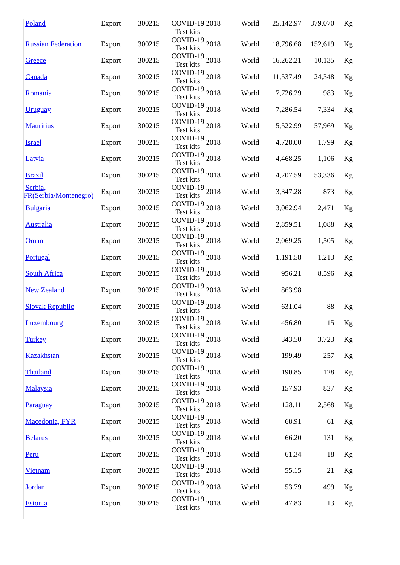| Poland                           | Export        | 300215 | COVID-19 2018<br><b>Test kits</b> | World | 25,142.97 | 379,070 | Kg |
|----------------------------------|---------------|--------|-----------------------------------|-------|-----------|---------|----|
| <b>Russian Federation</b>        | <b>Export</b> | 300215 | COVID-19 2018<br><b>Test kits</b> | World | 18,796.68 | 152,619 | Kg |
| Greece                           | Export        | 300215 | COVID-19 $_{2018}$<br>Test kits   | World | 16,262.21 | 10,135  | Kg |
| Canada                           | Export        | 300215 | COVID-19 $_{2018}$<br>Test kits   | World | 11,537.49 | 24,348  | Kg |
| <b>Romania</b>                   | Export        | 300215 | COVID-19 $_{2018}$<br>Test kits   | World | 7,726.29  | 983     | Kg |
| <b>Uruguay</b>                   | Export        | 300215 | COVID-19 $_{2018}$<br>Test kits   | World | 7,286.54  | 7,334   | Kg |
| <b>Mauritius</b>                 | <b>Export</b> | 300215 | COVID-19 $_{2018}$<br>Test kits   | World | 5,522.99  | 57,969  | Kg |
| <b>Israel</b>                    | <b>Export</b> | 300215 | COVID-19 $_{2018}$<br>Test kits   | World | 4,728.00  | 1,799   | Kg |
| <b>Latvia</b>                    | <b>Export</b> | 300215 | COVID-19 $_{2018}$<br>Test kits   | World | 4,468.25  | 1,106   | Kg |
| <b>Brazil</b>                    | <b>Export</b> | 300215 | COVID-19 2018<br>Test kits        | World | 4,207.59  | 53,336  | Kg |
| Serbia,<br>FR(Serbia/Montenegro) | Export        | 300215 | COVID-19 2018<br>Test kits        | World | 3,347.28  | 873     | Kg |
| <b>Bulgaria</b>                  | <b>Export</b> | 300215 | COVID-19 2018<br>Test kits        | World | 3,062.94  | 2,471   | Kg |
| <b>Australia</b>                 | <b>Export</b> | 300215 | COVID-19 2018<br><b>Test kits</b> | World | 2,859.51  | 1,088   | Kg |
| <b>Oman</b>                      | <b>Export</b> | 300215 | COVID-19 2018<br>Test kits        | World | 2,069.25  | 1,505   | Kg |
| <b>Portugal</b>                  | <b>Export</b> | 300215 | COVID-19 2018<br><b>Test kits</b> | World | 1,191.58  | 1,213   | Kg |
| <b>South Africa</b>              | <b>Export</b> | 300215 | COVID-19 2018<br><b>Test kits</b> | World | 956.21    | 8,596   | Kg |
| <b>New Zealand</b>               | Export        | 300215 | COVID-19 $_{2018}$<br>Test kits   | World | 863.98    |         |    |
| <b>Slovak Republic</b>           | Export        | 300215 | COVID-19 $_{2018}$<br>Test kits   | World | 631.04    | 88      | Kg |
| <b>Luxembourg</b>                | <b>Export</b> | 300215 | COVID-19 2018<br><b>Test kits</b> | World | 456.80    | 15      | Kg |
| <b>Turkey</b>                    | Export        | 300215 | COVID-19 2018<br><b>Test kits</b> | World | 343.50    | 3,723   | Kg |
| <b>Kazakhstan</b>                | <b>Export</b> | 300215 | COVID-19 2018<br><b>Test kits</b> | World | 199.49    | 257     | Kg |
| Thailand                         | <b>Export</b> | 300215 | COVID-19 2018<br><b>Test kits</b> | World | 190.85    | 128     | Kg |
| <b>Malaysia</b>                  | Export        | 300215 | COVID-19 2018<br>Test kits        | World | 157.93    | 827     | Kg |
| <b>Paraguay</b>                  | <b>Export</b> | 300215 | COVID-19 2018<br><b>Test kits</b> | World | 128.11    | 2,568   | Kg |
| Macedonia, FYR                   | <b>Export</b> | 300215 | COVID-19 2018<br>Test kits        | World | 68.91     | 61      | Kg |
| <b>Belarus</b>                   | Export        | 300215 | COVID-19 2018<br><b>Test kits</b> | World | 66.20     | 131     | Kg |
| <b>Peru</b>                      | Export        | 300215 | COVID-19 2018<br><b>Test kits</b> | World | 61.34     | 18      | Kg |
| <b>Vietnam</b>                   | Export        | 300215 | COVID-19 2018<br>Test kits        | World | 55.15     | 21      | Kg |
| <b>Jordan</b>                    | Export        | 300215 | COVID-19 2018<br><b>Test kits</b> | World | 53.79     | 499     | Kg |
| <b>Estonia</b>                   | Export        | 300215 | COVID-19 2018<br>Test kits        | World | 47.83     | 13      | Kg |